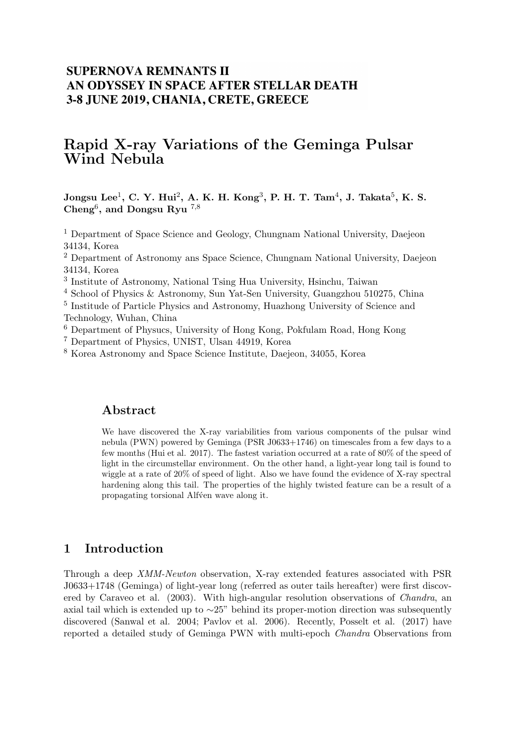## **SUPERNOVA REMNANTS II** AN ODYSSEY IN SPACE AFTER STELLAR DEATH 3-8 JUNE 2019, CHANIA, CRETE, GREECE

# Rapid X-ray Variations of the Geminga Pulsar Wind Nebula

 $\rm{Jongsu\ Lee^1,\ C.\ Y.\ Hui^2,\ A.\ K.\ H.\ Kong^3,\ P.\ H.\ T.\ Tam^4,\ J.\ Takata^5,\ K.\ S.}$ Cheng<sup>6</sup>, and Dongsu Ryu  $^{7,8}$ 

<sup>1</sup> Department of Space Science and Geology, Chungnam National University, Daejeon 34134, Korea

<sup>2</sup> Department of Astronomy ans Space Science, Chungnam National University, Daejeon 34134, Korea

3 Institute of Astronomy, National Tsing Hua University, Hsinchu, Taiwan

<sup>4</sup> School of Physics & Astronomy, Sun Yat-Sen University, Guangzhou 510275, China

<sup>5</sup> Institude of Particle Physics and Astronomy, Huazhong University of Science and Technology, Wuhan, China

<sup>6</sup> Department of Physucs, University of Hong Kong, Pokfulam Road, Hong Kong

<sup>7</sup> Department of Physics, UNIST, Ulsan 44919, Korea

<sup>8</sup> Korea Astronomy and Space Science Institute, Daejeon, 34055, Korea

#### Abstract

We have discovered the X-ray variabilities from various components of the pulsar wind nebula (PWN) powered by Geminga (PSR J0633+1746) on timescales from a few days to a few months (Hui et al. 2017). The fastest variation occurred at a rate of 80% of the speed of light in the circumstellar environment. On the other hand, a light-year long tail is found to wiggle at a rate of 20% of speed of light. Also we have found the evidence of X-ray spectral hardening along this tail. The properties of the highly twisted feature can be a result of a propagating torsional Alfven wave along it.

### 1 Introduction

Through a deep XMM-Newton observation, X-ray extended features associated with PSR J0633+1748 (Geminga) of light-year long (referred as outer tails hereafter) were first discovered by Caraveo et al. (2003). With high-angular resolution observations of *Chandra*, an axial tail which is extended up to ∼25" behind its proper-motion direction was subsequently discovered (Sanwal et al. 2004; Pavlov et al. 2006). Recently, Posselt et al. (2017) have reported a detailed study of Geminga PWN with multi-epoch Chandra Observations from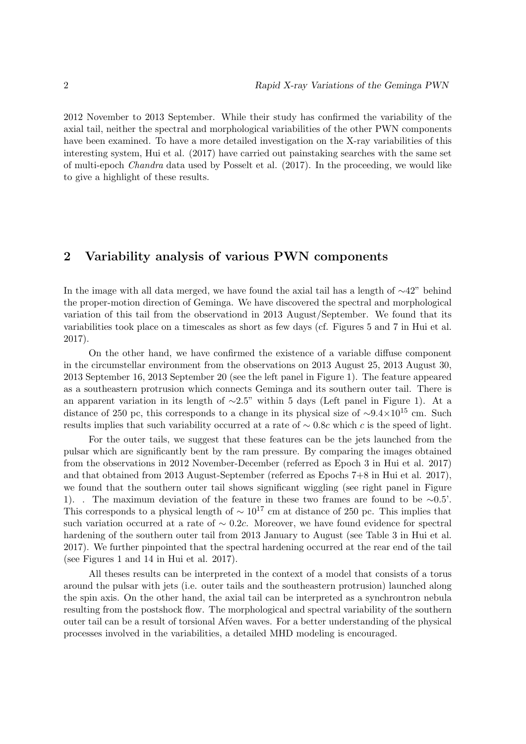2012 November to 2013 September. While their study has confirmed the variability of the axial tail, neither the spectral and morphological variabilities of the other PWN components have been examined. To have a more detailed investigation on the X-ray variabilities of this interesting system, Hui et al. (2017) have carried out painstaking searches with the same set of multi-epoch Chandra data used by Posselt et al. (2017). In the proceeding, we would like to give a highlight of these results.

#### 2 Variability analysis of various PWN components

In the image with all data merged, we have found the axial tail has a length of  $\sim$ 42" behind the proper-motion direction of Geminga. We have discovered the spectral and morphological variation of this tail from the observationd in 2013 August/September. We found that its variabilities took place on a timescales as short as few days (cf. Figures 5 and 7 in Hui et al. 2017).

On the other hand, we have confirmed the existence of a variable diffuse component in the circumstellar environment from the observations on 2013 August 25, 2013 August 30, 2013 September 16, 2013 September 20 (see the left panel in Figure 1). The feature appeared as a southeastern protrusion which connects Geminga and its southern outer tail. There is an apparent variation in its length of  $\sim$ 2.5" within 5 days (Left panel in Figure 1). At a distance of 250 pc, this corresponds to a change in its physical size of ∼9.4×10<sup>15</sup> cm. Such results implies that such variability occurred at a rate of  $\sim 0.8c$  which c is the speed of light.

For the outer tails, we suggest that these features can be the jets launched from the pulsar which are significantly bent by the ram pressure. By comparing the images obtained from the observations in 2012 November-December (referred as Epoch 3 in Hui et al. 2017) and that obtained from 2013 August-September (referred as Epochs 7+8 in Hui et al. 2017), we found that the southern outer tail shows significant wiggling (see right panel in Figure 1). . The maximum deviation of the feature in these two frames are found to be ∼0.5'. This corresponds to a physical length of  $\sim 10^{17}$  cm at distance of 250 pc. This implies that such variation occurred at a rate of  $\sim 0.2c$ . Moreover, we have found evidence for spectral hardening of the southern outer tail from 2013 January to August (see Table 3 in Hui et al. 2017). We further pinpointed that the spectral hardening occurred at the rear end of the tail (see Figures 1 and 14 in Hui et al. 2017).

All theses results can be interpreted in the context of a model that consists of a torus around the pulsar with jets (i.e. outer tails and the southeastern protrusion) launched along the spin axis. On the other hand, the axial tail can be interpreted as a synchrontron nebula resulting from the postshock flow. The morphological and spectral variability of the southern outer tail can be a result of torsional Af´ven waves. For a better understanding of the physical processes involved in the variabilities, a detailed MHD modeling is encouraged.